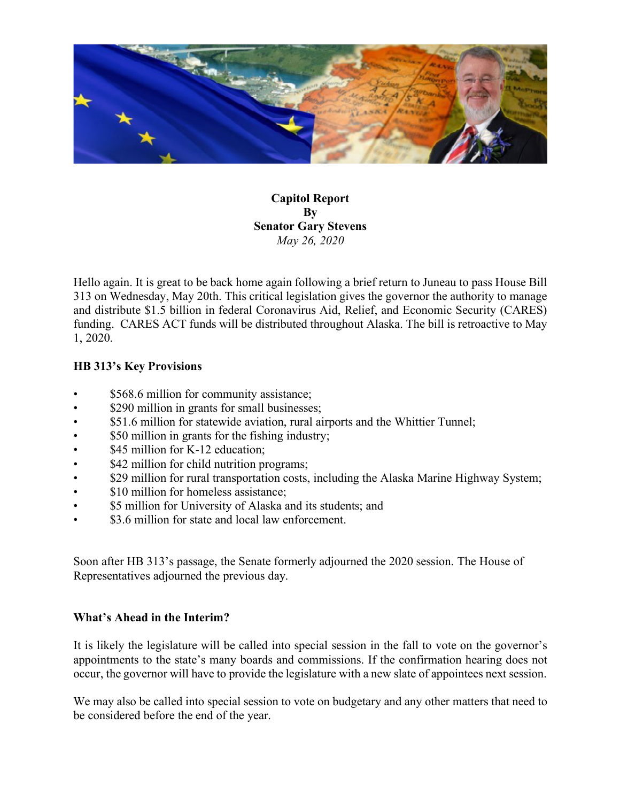

**Capitol Report By Senator Gary Stevens** *May 26, 2020*

Hello again. It is great to be back home again following a brief return to Juneau to pass House Bill 313 on Wednesday, May 20th. This critical legislation gives the governor the authority to manage and distribute \$1.5 billion in federal Coronavirus Aid, Relief, and Economic Security (CARES) funding. CARES ACT funds will be distributed throughout Alaska. The bill is retroactive to May 1, 2020.

## **HB 313's Key Provisions**

- \$568.6 million for community assistance;
- \$290 million in grants for small businesses;
- \$51.6 million for statewide aviation, rural airports and the Whittier Tunnel;
- \$50 million in grants for the fishing industry;
- \$45 million for K-12 education;
- \$42 million for child nutrition programs;
- \$29 million for rural transportation costs, including the Alaska Marine Highway System;
- \$10 million for homeless assistance:
- \$5 million for University of Alaska and its students; and
- \$3.6 million for state and local law enforcement.

Soon after HB 313's passage, the Senate formerly adjourned the 2020 session. The House of Representatives adjourned the previous day.

## **What's Ahead in the Interim?**

It is likely the legislature will be called into special session in the fall to vote on the governor's appointments to the state's many boards and commissions. If the confirmation hearing does not occur, the governor will have to provide the legislature with a new slate of appointees next session.

We may also be called into special session to vote on budgetary and any other matters that need to be considered before the end of the year.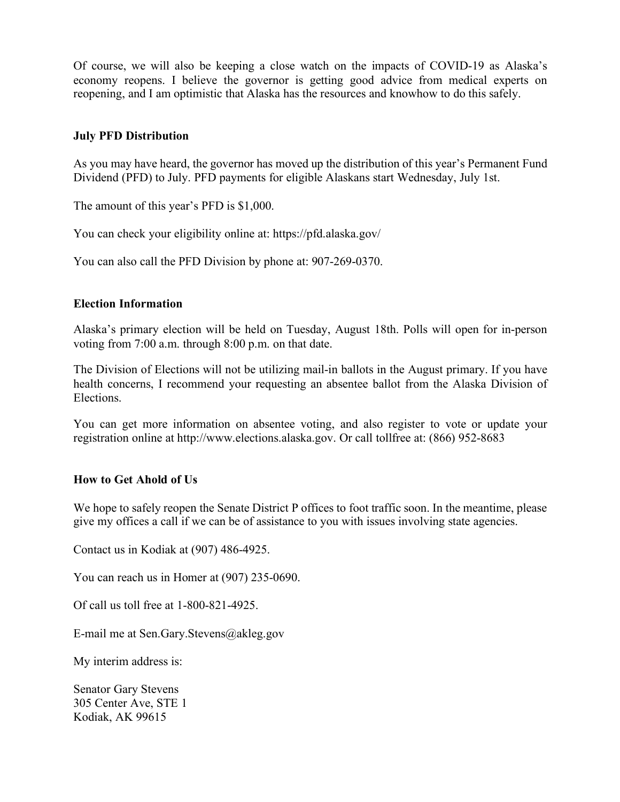Of course, we will also be keeping a close watch on the impacts of COVID-19 as Alaska's economy reopens. I believe the governor is getting good advice from medical experts on reopening, and I am optimistic that Alaska has the resources and knowhow to do this safely.

### **July PFD Distribution**

As you may have heard, the governor has moved up the distribution of this year's Permanent Fund Dividend (PFD) to July. PFD payments for eligible Alaskans start Wednesday, July 1st.

The amount of this year's PFD is \$1,000.

You can check your eligibility online at: https://pfd.alaska.gov/

You can also call the PFD Division by phone at: 907-269-0370.

#### **Election Information**

Alaska's primary election will be held on Tuesday, August 18th. Polls will open for in-person voting from 7:00 a.m. through 8:00 p.m. on that date.

The Division of Elections will not be utilizing mail-in ballots in the August primary. If you have health concerns, I recommend your requesting an absentee ballot from the Alaska Division of Elections.

You can get more information on absentee voting, and also register to vote or update your registration online at http://www.elections.alaska.gov. Or call tollfree at: (866) 952-8683

#### **How to Get Ahold of Us**

We hope to safely reopen the Senate District P offices to foot traffic soon. In the meantime, please give my offices a call if we can be of assistance to you with issues involving state agencies.

Contact us in Kodiak at (907) 486-4925.

You can reach us in Homer at (907) 235-0690.

Of call us toll free at 1-800-821-4925.

E-mail me at Sen.Gary.Stevens@akleg.gov

My interim address is:

Senator Gary Stevens 305 Center Ave, STE 1 Kodiak, AK 99615